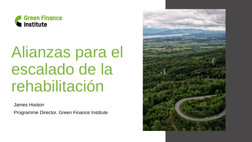

## Alianzas para el escalado de la rehabilitación

James Hooton

Programme Director, Green Finance Institute

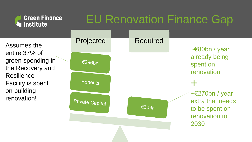| <b>Green Finance</b><br><b>Institute</b>                                                                                                             | <b>EU Renovation Finance Gap</b> |  |                  |                                                                                    |  |
|------------------------------------------------------------------------------------------------------------------------------------------------------|----------------------------------|--|------------------|------------------------------------------------------------------------------------|--|
| Assumes the<br>entire 37% of<br>green spending in<br>the Recovery and<br><b>Resilience</b><br><b>Facility is spent</b><br>on building<br>renovation! | Projected                        |  | <b>Required</b>  | $\sim \epsilon$ 80bn / year<br>already being<br>spent on<br>renovation             |  |
|                                                                                                                                                      | €296bn                           |  |                  |                                                                                    |  |
|                                                                                                                                                      | <b>Benefits</b>                  |  |                  |                                                                                    |  |
|                                                                                                                                                      | <b>Private Capital</b>           |  | $\epsilon$ 3.5tr | $\leq$ 270bn / year<br>extra that needs<br>to be spent on<br>renovation to<br>2030 |  |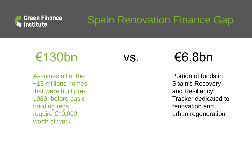

### Spain Renovation Finance Gap

### $\epsilon$ 130bn vs.  $\epsilon$ 6.8bn

Assumes all of the ~13 millions homes that were built pre-1980, before basic building regs, require €10,000 worth of work

Portion of funds in Spain's Recovery and Resiliency Tracker dedicated to renovation and urban regeneration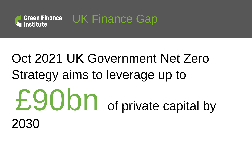

## Oct 2021 UK Government Net Zero Strategy aims to leverage up to £90bn of private capital by 2030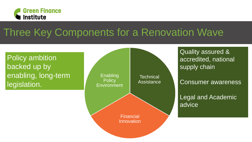

### Three Key Components for a Renovation Wave

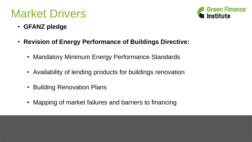### Market Drivers



- **GFANZ pledge**
- **Revision of Energy Performance of Buildings Directive:**
	- Mandatory Minimum Energy Performance Standards
	- Availability of lending products for buildings renovation
	- Building Renovation Plans
	- Mapping of market failures and barriers to financing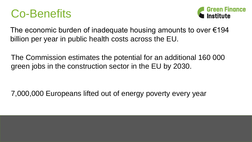### Co-Benefits



The economic burden of inadequate housing amounts to over  $\epsilon$ 194 billion per year in public health costs across the EU.

The Commission estimates the potential for an additional 160 000 green jobs in the construction sector in the EU by 2030.

7,000,000 Europeans lifted out of energy poverty every year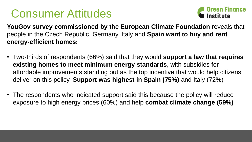### Consumer Attitudes



**YouGov survey commissioned by the European Climate Foundation** reveals that people in the Czech Republic, Germany, Italy and **Spain want to buy and rent energy-efficient homes:**

- Two-thirds of respondents (66%) said that they would **support a law that requires existing homes to meet minimum energy standards**, with subsidies for affordable improvements standing out as the top incentive that would help citizens deliver on this policy. **Support was highest in Spain (75%)** and Italy (72%)
- The respondents who indicated support said this because the policy will reduce exposure to high energy prices (60%) and help **combat climate change (59%)**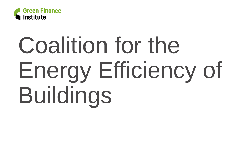

# Coalition for the Energy Efficiency of Buildings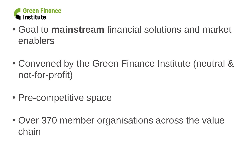

- Goal to **mainstream** financial solutions and market enablers
- Convened by the Green Finance Institute (neutral & not-for-profit)
- Pre-competitive space
- Over 370 member organisations across the value chain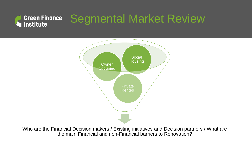#### Segmental Market Review **Green Finance Institute**



Who are the Financial Decision makers / Existing initiatives and Decision partners / What are the main Financial and non-Financial barriers to Renovation?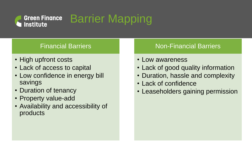#### Barrier Mapping **Green Finance Institute**

### Financial Barriers

- High upfront costs
- Lack of access to capital
- Low confidence in energy bill savings
- Duration of tenancy
- Property value-add
- Availability and accessibility of products

#### Non-Financial Barriers

- Low awareness
- Lack of good quality information
- Duration, hassle and complexity
- Lack of confidence
- Leaseholders gaining permission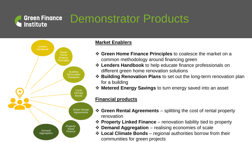### Demonstrator Products



**Green Finance** 

**Institute** 

#### **Market Enablers**

- **Green Home Finance Principles** to coalesce the market on a common methodology around financing green
- **Lenders Handbook** to help educate finance professionals on different green home renovation solutions
- **Building Renovation Plans** to set out the long-term renovation plan for a building
- **Metered Energy Savings** to turn energy saved into an asset

#### **Financial products**

- **Green Rental Agreements**  splitting the cost of rental property renovation
- **Property Linked Finance**  renovation liability tied to property
- **Demand Aggregation**  realising economies of scale
- **Local Climate Bonds**  regional authorities borrow from their communities for green projects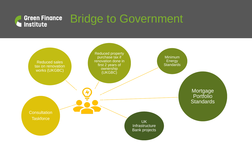#### Bridge to Government **Green Finance** Institute

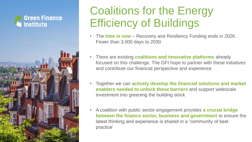

### Coalitions for the Energy Efficiency of Buildings

- The **time is now**  Recovery and Resiliency Funding ends in 2026. Fewer than 3,000 days to 2030
- There are existing **coalitions and innovative platforms** already focused on this challenge. The GFI hope to partner with these initiatives and contribute our financial perspective and experience
- Together we can **actively develop the financial solutions and market enablers needed to unlock these barriers** and support widescale investment into greening the building stock
- A coalition with public sector engagement provides **a crucial bridge between the finance sector, business and government** to ensure the latest thinking and experience is shared in a 'community of best practice'